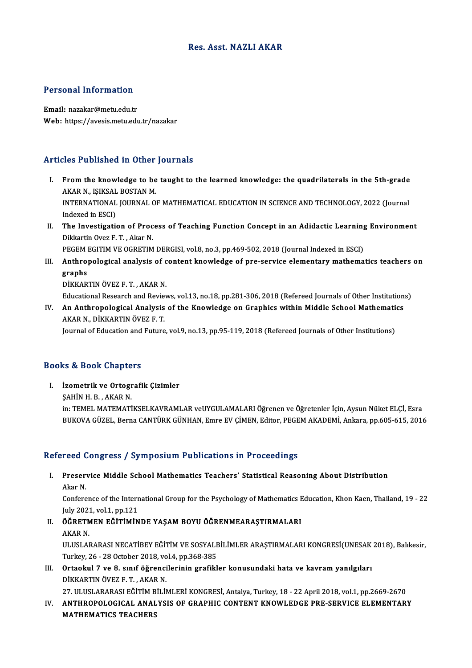### Res. Asst.NAZLI AKAR

# Personal Information

Email: nazakar@metu.edu.tr Web: https://avesis.metu.edu.tr/nazakar

# Articles Published in Other Journals

- I. From the knowledge to be taught to the learned knowledge: the quadrilaterals in the 5th-grade<br>I. From the knowledge to be taught to the learned knowledge: the quadrilaterals in the 5th-grade ACC TUCKNOW IN CERCI<br>From the knowledge to be<br>AKAR N., IŞIKSAL BOSTAN M.<br>INTERNATIONAL JOURNAL O From the knowledge to be taught to the learned knowledge: the quadrilaterals in the 5th-grade<br>AKAR N., IŞIKSAL BOSTAN M.<br>INTERNATIONAL JOURNAL OF MATHEMATICAL EDUCATION IN SCIENCE AND TECHNOLOGY, 2022 (Journal<br>Indexed in E AKAR N., IŞIKSAL<br>INTERNATIONAL<br>Indexed in ESCI)<br>The Investigati INTERNATIONAL JOURNAL OF MATHEMATICAL EDUCATION IN SCIENCE AND TECHNOLOGY, 2022 (Journal<br>Indexed in ESCI)<br>II. The Investigation of Process of Teaching Function Concept in an Adidactic Learning Environment<br>Dikkertin Over E.
- Indexed in ESCI)<br>The Investigation of Proc<br>Dikkartin Ovez F. T. , Akar N.<br>RECEM ECITIM VE OCRETIM The Investigation of Process of Teaching Function Concept in an Adidactic Learning<br>Dikkartin Ovez F. T. , Akar N.<br>PEGEM EGITIM VE OGRETIM DERGISI, vol.8, no.3, pp.469-502, 2018 (Journal Indexed in ESCI)<br>Anthropologisel ang

- Dikkartin Ovez F. T. , Akar N.<br>PEGEM EGITIM VE OGRETIM DERGISI, vol.8, no.3, pp.469-502, 2018 (Journal Indexed in ESCI)<br>III. Anthropological analysis of content knowledge of pre-service elementary mathematics teachers PEGEM I<br>Anthro<sub>l</sub><br>graphs<br>DikkAP Anthropological analysis of c<br>graphs<br>DİKKARTIN ÖVEZ F.T., AKAR N.<br>Educational Bessareb and Bevier graphs<br>DİKKARTIN ÖVEZ F. T. , AKAR N.<br>Educational Research and Reviews, vol.13, no.18, pp.281-306, 2018 (Refereed Journals of Other Institutions)
	-

DİKKARTIN ÖVEZ F. T. , AKAR N.<br>Educational Research and Reviews, vol.13, no.18, pp.281-306, 2018 (Refereed Journals of Other Institution<br>IV. An Anthropological Analysis of the Knowledge on Graphics within Middle School Mat Educational Research and Revie<br>An Anthropological Analysis<br>AKAR N., DİKKARTIN ÖVEZ F. T.<br>Journal of Education and Euture An Anthropological Analysis of the Knowledge on Graphics within Middle School Mathemati<br>AKAR N., DİKKARTIN ÖVEZ F. T.<br>Journal of Education and Future, vol.9, no.13, pp.95-119, 2018 (Refereed Journals of Other Institutions)

Journal of Education and Future, vol.9, no.13, pp.95-119, 2018 (Refereed Journals of Other Institutions)<br>Books & Book Chapters

OOks & Book Chapters<br>I. İzometrik ve Ortografik Çizimler<br>SAHİNH B. AKAB N E & DOOK GREPE<br>Izometrik ve Ortogr<br>ŞAHİN H. B. , AKAR N.<br>in: TEMEL MATEMATİ ŞAHİN H. B. , AKAR N.<br>in: TEMEL MATEMATİKSELKAVRAMLAR veUYGULAMALARI Öğrenen ve Öğretenler İçin, Aysun Nüket ELÇİ, Esra BUKOVA GÜZEL, Berna CANTÜRK GÜNHAN, Emre EV ÇİMEN, Editor, PEGEM AKADEMİ, Ankara, pp.605-615, 2016

### Refereed Congress / Symposium Publications in Proceedings

efereed Congress / Symposium Publications in Proceedings<br>I. Preservice Middle School Mathematics Teachers' Statistical Reasoning About Distribution<br>Akan N reeard<br>Preser<br>Akar N. Preservice Middle School Mathematics Teachers' Statistical Reasoning About Distribution<br>Akar N.<br>Conference of the International Group for the Psychology of Mathematics Education, Khon Kaen, Thailand, 19 - 22

Akar N.<br>Conference of the Interr<br>July 2021, vol.1, pp.121<br>ÖСРЕТМЕМ ЕСІТІМІМ Conference of the International Group for the Psychology of Mathematics I<br>July 2021, vol.1, pp.121<br>II. ÖĞRETMEN EĞİTİMİNDE YAŞAM BOYU ÖĞRENMEARAŞTIRMALARI<br>AKAR N

- July 2021<br><mark>ÖĞRETM</mark><br>AKAR N. ÖĞRETMEN EĞİTİMİNDE YAŞAM BOYU ÖĞRENMEARAŞTIRMALARI<br>AKAR N.<br>ULUSLARARASI NECATİBEY EĞİTİM VE SOSYALBİLİMLER ARAŞTIRMALARI KONGRESİ(UNESAK 2018), Balıkesir,<br>Turkay 26, 28 Ostabar 2018 yal 4, np 268 295 AKAR N.<br>ULUSLARARASI NECATİBEY EĞİTİM VE SOSYALE<br>Turkey, 26 - 28 October 2018, vol.4, pp.368-385<br>Ortaokul 7 ve 8. surf öğrengilerinin grafikl
- ULUSLARARASI NECATIBEY EĞITIM VE SOSYALBILIMLER ARAŞTIRMALARI KONGRESI(UNESAK<br>Turkey, 26 28 October 2018, vol.4, pp.368-385<br>III. Ortaokul 7 ve 8. sınıf öğrencilerinin grafikler konusundaki hata ve kavram yanılgıları<br>DİKK Turkey, 26 - 28 October 2018, vo<br>Ortaokul 7 ve 8. sınıf öğrenci<br>DİKKARTIN ÖVEZ F.T. , AKAR N.<br>27 ULUSLARARASI FĞİTİM PİLİL 27.ULUSLARARASIEĞİTİMBİLİMLERİKONGRESİ,Antalya,Turkey,18 -22April2018,vol.1,pp.2669-2670

DİKKARTIN ÖVEZ F. T. , AKAR N.<br>27. ULUSLARARASI EĞİTİM BİLİMLERİ KONGRESİ, Antalya, Turkey, 18 - 22 April 2018, vol.1, pp.2669-2670<br>IV. ANTHROPOLOGICAL ANALYSIS OF GRAPHIC CONTENT KNOWLEDGE PRE-SERVICE ELEMENTARY<br>MATHE 27. ULUSLARARASI EĞİTİM B<br><mark>ANTHROPOLOGICAL ANAL</mark><br>MATHEMATICS TEACHERS